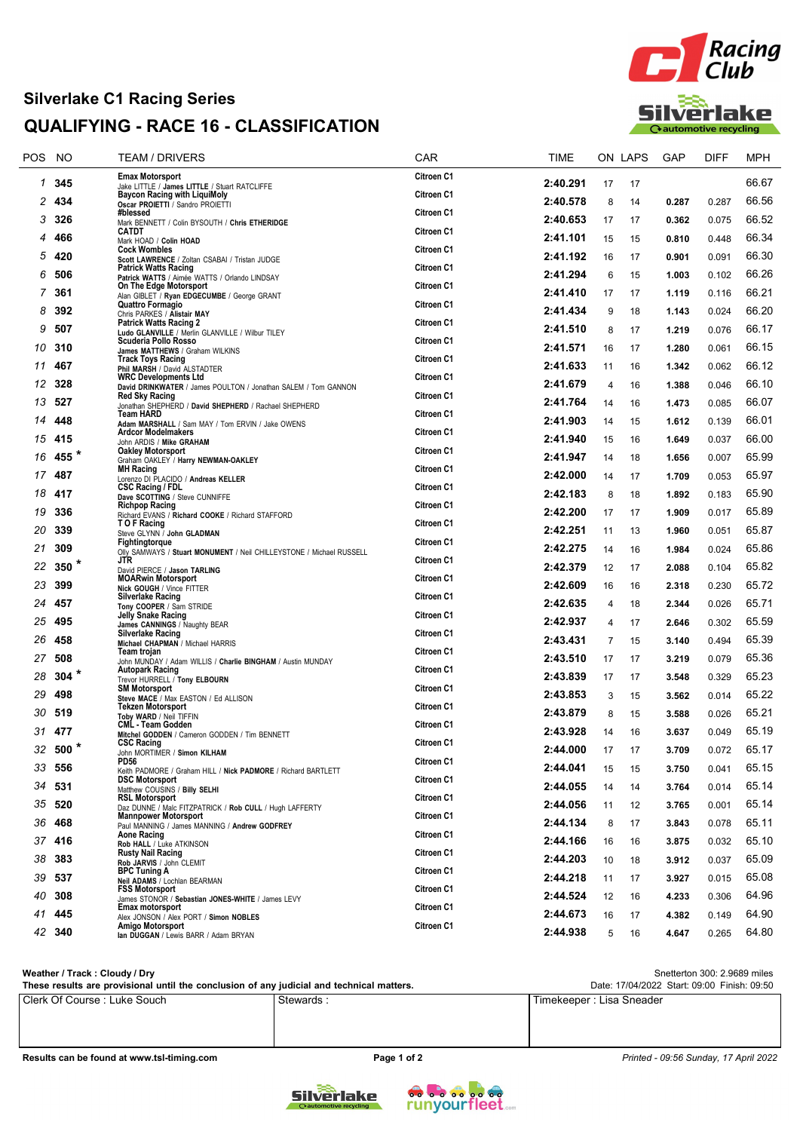## Silverlake C1 Racing Series QUALIFYING - RACE 16 - CLASSIFICATION



| POS. | NO      | <b>TEAM / DRIVERS</b>                                                                   | CAR        | TIME     |    | ON LAPS | GAP   | DIFF  | <b>MPH</b> |
|------|---------|-----------------------------------------------------------------------------------------|------------|----------|----|---------|-------|-------|------------|
| 1    | 345     | <b>Emax Motorsport</b><br>Jake LITTLE / James LITTLE / Stuart RATCLIFFE                 | Citroen C1 | 2:40.291 | 17 | 17      |       |       | 66.67      |
| 2    | 434     | <b>Baycon Racing with LiquiMoly</b><br>Oscar PROIETTI / Sandro PROIETTI                 | Citroen C1 | 2:40.578 | 8  | 14      | 0.287 | 0.287 | 66.56      |
| 3    | 326     | #blessed<br>Mark BENNETT / Colin BYSOUTH / Chris ETHERIDGE                              | Citroen C1 | 2:40.653 | 17 | 17      | 0.362 | 0.075 | 66.52      |
| 4    | 466     | <b>CATDT</b><br>Mark HOAD / Colin HOAD                                                  | Citroen C1 | 2:41.101 | 15 | 15      | 0.810 | 0.448 | 66.34      |
| 5    | 420     | <b>Cock Wombles</b><br>Scott LAWRENCE / Zoltan CSABAI / Tristan JUDGE                   | Citroen C1 | 2:41.192 | 16 | 17      | 0.901 | 0.091 | 66.30      |
| 6    | 506     | <b>Patrick Watts Racing</b><br>Patrick WATTS / Aimée WATTS / Orlando LINDSAY            | Citroen C1 | 2:41.294 | 6  | 15      | 1.003 | 0.102 | 66.26      |
| 7    | 361     | On The Edge Motorsport<br>Alan GIBLET / Ryan EDGECUMBE / George GRANT                   | Citroen C1 | 2:41.410 | 17 | 17      | 1.119 | 0.116 | 66.21      |
| 8    | 392     | Quattro Formagio<br>Chris PARKES / Alistair MAY                                         | Citroen C1 | 2:41.434 | 9  | 18      | 1.143 | 0.024 | 66.20      |
| 9    | 507     | <b>Patrick Watts Racing 2</b><br>Ludo GLANVILLE / Merlin GLANVILLE / Wilbur TILEY       | Citroen C1 | 2:41.510 | 8  | 17      | 1.219 | 0.076 | 66.17      |
| 10   | 310     | Scuderia Pollo Rosso                                                                    | Citroen C1 | 2:41.571 | 16 | 17      | 1.280 | 0.061 | 66.15      |
| 11   | 467     | James MATTHEWS / Graham WILKINS<br><b>Track Toys Racing</b>                             | Citroen C1 | 2:41.633 | 11 | 16      | 1.342 | 0.062 | 66.12      |
| 12   | 328     | Phil MARSH / David ALSTADTER<br><b>WRC Developments Ltd</b>                             | Citroen C1 | 2:41.679 | 4  | 16      | 1.388 | 0.046 | 66.10      |
| 13   | 527     | David DRINKWATER / James POULTON / Jonathan SALEM / Tom GANNON<br><b>Red Sky Racing</b> | Citroen C1 | 2:41.764 | 14 | 16      | 1.473 | 0.085 | 66.07      |
| 14   | 448     | Jonathan SHEPHERD / David SHEPHERD / Rachael SHEPHERD<br>Team HARD                      | Citroen C1 | 2:41.903 |    |         |       |       | 66.01      |
|      |         | Adam MARSHALL / Sam MAY / Tom ERVIN / Jake OWENS<br><b>Ardcor Modelmakers</b>           | Citroen C1 |          | 14 | 15      | 1.612 | 0.139 |            |
| 15   | 415     | John ARDIS / Mike GRAHAM<br><b>Oakley Motorsport</b>                                    | Citroen C1 | 2:41.940 | 15 | 16      | 1.649 | 0.037 | 66.00      |
| 16   | 455 *   | Graham OAKLEY / Harry NEWMAN-OAKLEY<br><b>MH Racing</b>                                 | Citroen C1 | 2:41.947 | 14 | 18      | 1.656 | 0.007 | 65.99      |
| 17   | 487     | Lorenzo DI PLACIDO / Andreas KELLER<br><b>CSC Racing / FDL</b>                          | Citroen C1 | 2:42.000 | 14 | 17      | 1.709 | 0.053 | 65.97      |
| 18   | 417     | Dave SCOTTING / Steve CUNNIFFE<br><b>Richpop Racing</b>                                 | Citroen C1 | 2:42.183 | 8  | 18      | 1.892 | 0.183 | 65.90      |
| 19   | 336     | Richard EVANS / Richard COOKE / Richard STAFFORD<br>T O F Racing                        | Citroen C1 | 2:42.200 | 17 | 17      | 1.909 | 0.017 | 65.89      |
| 20   | 339     | Steve GLYNN / John GLADMAN<br>Fightingtorque                                            | Citroen C1 | 2:42.251 | 11 | 13      | 1.960 | 0.051 | 65.87      |
| 21   | 309     | Olly SAMWAYS / Stuart MONUMENT / Neil CHILLEYSTONE / Michael RUSSELL<br>JTR             | Citroen C1 | 2:42.275 | 14 | 16      | 1.984 | 0.024 | 65.86      |
| 22   | 350 $*$ | David PIERCE / Jason TARLING<br><b>MOARwin Motorsport</b>                               | Citroen C1 | 2:42.379 | 12 | 17      | 2.088 | 0.104 | 65.82      |
| 23   | 399     | Nick GOUGH / Vince FITTER<br><b>Silverlake Racing</b>                                   | Citroen C1 | 2:42.609 | 16 | 16      | 2.318 | 0.230 | 65.72      |
| 24   | 457     | Tony COOPER / Sam STRIDE<br>Jelly Snake Racing                                          | Citroen C1 | 2:42.635 | 4  | 18      | 2.344 | 0.026 | 65.71      |
| 25   | 495     | James CANNINGS / Naughty BEAR<br><b>Silverlake Racing</b>                               | Citroen C1 | 2:42.937 | 4  | 17      | 2.646 | 0.302 | 65.59      |
| 26   | 458     | Michael CHAPMAN / Michael HARRIS                                                        |            | 2:43.431 | 7  | 15      | 3.140 | 0.494 | 65.39      |
| 27   | 508     | Team trojan<br>John MUNDAY / Adam WILLIS / Charlie BINGHAM / Austin MUNDAY              | Citroen C1 | 2:43.510 | 17 | 17      | 3.219 | 0.079 | 65.36      |
| 28   | 304 $*$ | <b>Autopark Racing</b><br>Trevor HURRELL / Tony ELBOURN                                 | Citroen C1 | 2:43.839 | 17 | 17      | 3.548 | 0.329 | 65.23      |
| 29   | 498     | <b>SM Motorsport</b><br>Steve MACE / Max EASTON / Ed ALLISON                            | Citroen C1 | 2:43.853 | 3  | 15      | 3.562 | 0.014 | 65.22      |
| 30   | 519     | <b>Tekzen Motorsport</b><br>Toby WARD / Neil TIFFIN                                     | Citroen C1 | 2:43.879 | 8  | 15      | 3.588 | 0.026 | 65.21      |
| 31   | 477     | <b>CML - Team Godden</b><br>Mitchel GODDEN / Cameron GODDEN / Tim BENNETT               | Citroen C1 | 2:43.928 | 14 | 16      | 3.637 | 0.049 | 65.19      |
| 32   | $500*$  | <b>CSC Racing</b><br>John MORTIMER / Simon KILHAM                                       | Citroen C1 | 2:44.000 | 17 | 17      | 3.709 | 0.072 | 65.17      |
|      | 33 556  | PD56<br>Keith PADMORE / Graham HILL / Nick PADMORE / Richard BARTLETT                   | Citroen C1 | 2:44.041 | 15 | 15      | 3.750 | 0.041 | 65.15      |
| 34   | 531     | <b>DSC Motorsport</b><br>Matthew COUSINS / Billy SELHI                                  | Citroen C1 | 2:44.055 | 14 | 14      | 3.764 | 0.014 | 65.14      |
| 35   | 520     | <b>RSL Motorsport</b><br>Daz DUNNE / Malc FITZPATRICK / Rob CULL / Hugh LAFFERTY        | Citroen C1 | 2:44.056 | 11 | 12      | 3.765 | 0.001 | 65.14      |
| 36   | 468     | <b>Mannpower Motorsport</b><br>Paul MANNING / James MANNING / Andrew GODFREY            | Citroen C1 | 2:44.134 | 8  | 17      | 3.843 | 0.078 | 65.11      |
|      | 37 416  | Aone Racing<br>Rob HALL / Luke ATKINSON                                                 | Citroen C1 | 2:44.166 | 16 | 16      | 3.875 | 0.032 | 65.10      |
| 38   | 383     | <b>Rusty Nail Racing</b><br>Rob JARVIS / John CLEMIT                                    | Citroen C1 | 2:44.203 | 10 | 18      | 3.912 | 0.037 | 65.09      |
| 39   | 537     | <b>BPC Tuning A</b><br>Neil ADAMS / Lochlan BEARMAN                                     | Citroen C1 | 2:44.218 | 11 | 17      | 3.927 | 0.015 | 65.08      |
| 40   | 308     | <b>FSS Motorsport</b>                                                                   | Citroen C1 | 2:44.524 | 12 | 16      | 4.233 | 0.306 | 64.96      |
| 41   | 445     | James STONOR / Sebastian JONES-WHITE / James LEVY<br><b>Emax motorsport</b>             | Citroen C1 | 2:44.673 | 16 | 17      | 4.382 | 0.149 | 64.90      |
|      | 42 340  | Alex JONSON / Alex PORT / Simon NOBLES<br>Amigo Motorsport                              | Citroen C1 | 2:44.938 | 5  |         | 4.647 |       | 64.80      |
|      |         | lan DUGGAN / Lewis BARR / Adam BRYAN                                                    |            |          |    | 16      |       | 0.265 |            |

Clerk Of Course : Luke Souch Stewards : The Stewards : Timekeeper : Lisa Sneader Snetterton 300: 2.9689 miles These results are provisional until the conclusion of any judicial and technical matters. Weather / Track : Cloudy / Dry Date: 17/04/2022 Start: 09:00 Finish: 09:50